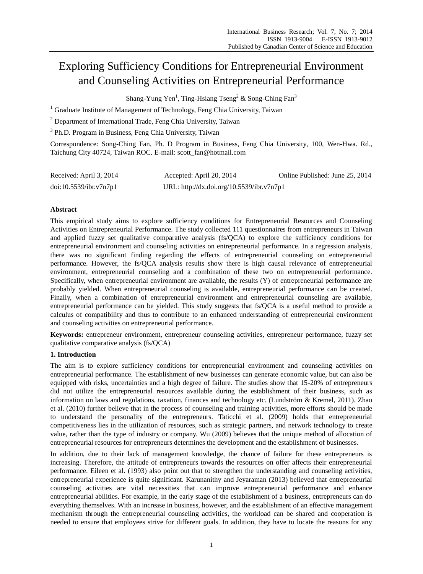# Exploring Sufficiency Conditions for Entrepreneurial Environment and Counseling Activities on Entrepreneurial Performance

Shang-Yung Yen<sup>1</sup>, Ting-Hsiang Tseng<sup>2</sup> & Song-Ching Fan<sup>3</sup>

 $1$  Graduate Institute of Management of Technology, Feng Chia University, Taiwan

<sup>2</sup> Department of International Trade, Feng Chia University, Taiwan

<sup>3</sup> Ph.D. Program in Business, Feng Chia University, Taiwan

Correspondence: Song-Ching Fan, Ph. D Program in Business, Feng Chia University, 100, Wen-Hwa. Rd., Taichung City 40724, Taiwan ROC. E-mail: scott\_fan@hotmail.com

| Received: April 3, 2014 | Accepted: April 20, 2014                  | Online Published: June 25, 2014 |
|-------------------------|-------------------------------------------|---------------------------------|
| doi:10.5539/ibr.v7n7p1  | URL: http://dx.doi.org/10.5539/ibr.v7n7p1 |                                 |

# **Abstract**

This empirical study aims to explore sufficiency conditions for Entrepreneurial Resources and Counseling Activities on Entrepreneurial Performance. The study collected 111 questionnaires from entrepreneurs in Taiwan and applied fuzzy set qualitative comparative analysis (fs/QCA) to explore the sufficiency conditions for entrepreneurial environment and counseling activities on entrepreneurial performance. In a regression analysis, there was no significant finding regarding the effects of entrepreneurial counseling on entrepreneurial performance. However, the fs/QCA analysis results show there is high causal relevance of entrepreneurial environment, entrepreneurial counseling and a combination of these two on entrepreneurial performance. Specifically, when entrepreneurial environment are available, the results (Y) of entrepreneurial performance are probably yielded. When entrepreneurial counseling is available, entrepreneurial performance can be created. Finally, when a combination of entrepreneurial environment and entrepreneurial counseling are available, entrepreneurial performance can be yielded. This study suggests that fs/QCA is a useful method to provide a calculus of compatibility and thus to contribute to an enhanced understanding of entrepreneurial environment and counseling activities on entrepreneurial performance.

**Keywords:** entrepreneur environment, entrepreneur counseling activities, entrepreneur performance, fuzzy set qualitative comparative analysis (fs/QCA)

# **1. Introduction**

The aim is to explore sufficiency conditions for entrepreneurial environment and counseling activities on entrepreneurial performance. The establishment of new businesses can generate economic value, but can also be equipped with risks, uncertainties and a high degree of failure. The studies show that 15-20% of entrepreneurs did not utilize the entrepreneurial resources available during the establishment of their business, such as information on laws and regulations, taxation, finances and technology etc. (Lundström & Kremel, 2011). Zhao et al. (2010) further believe that in the process of counseling and training activities, more efforts should be made to understand the personality of the entrepreneurs. Taticchi et al. (2009) holds that entrepreneurial competitiveness lies in the utilization of resources, such as strategic partners, and network technology to create value, rather than the type of industry or company. Wu (2009) believes that the unique method of allocation of entrepreneurial resources for entrepreneurs determines the development and the establishment of businesses.

In addition, due to their lack of management knowledge, the chance of failure for these entrepreneurs is increasing. Therefore, the attitude of entrepreneurs towards the resources on offer affects their entrepreneurial performance. Eileen et al. (1993) also point out that to strengthen the understanding and counseling activities, entrepreneurial experience is quite significant. Karunanithy and Jeyaraman (2013) believed that entrepreneurial counseling activities are vital necessities that can improve entrepreneurial performance and enhance entrepreneurial abilities. For example, in the early stage of the establishment of a business, entrepreneurs can do everything themselves. With an increase in business, however, and the establishment of an effective management mechanism through the entrepreneurial counseling activities, the workload can be shared and cooperation is needed to ensure that employees strive for different goals. In addition, they have to locate the reasons for any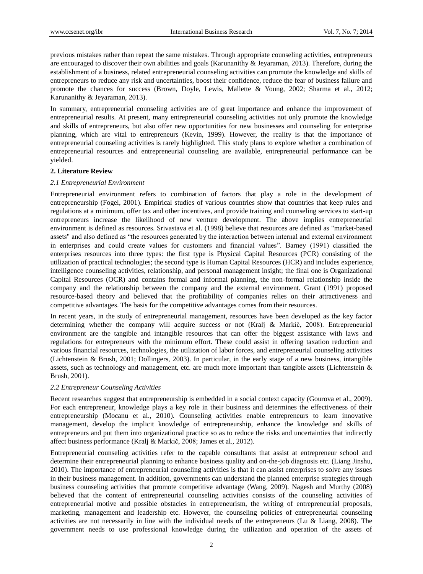previous mistakes rather than repeat the same mistakes. Through appropriate counseling activities, entrepreneurs are encouraged to discover their own abilities and goals (Karunanithy & Jeyaraman, 2013). Therefore, during the establishment of a business, related entrepreneurial counseling activities can promote the knowledge and skills of entrepreneurs to reduce any risk and uncertainties, boost their confidence, reduce the fear of business failure and promote the chances for success (Brown, Doyle, Lewis, Mallette & Young, 2002; Sharma et al., 2012; Karunanithy & Jeyaraman, 2013).

In summary, entrepreneurial counseling activities are of great importance and enhance the improvement of entrepreneurial results. At present, many entrepreneurial counseling activities not only promote the knowledge and skills of entrepreneurs, but also offer new opportunities for new businesses and counseling for enterprise planning, which are vital to entrepreneurs (Kevin, 1999). However, the reality is that the importance of entrepreneurial counseling activities is rarely highlighted. This study plans to explore whether a combination of entrepreneurial resources and entrepreneurial counseling are available, entrepreneurial performance can be yielded.

# **2. Literature Review**

# *2.1 Entrepreneurial Environment*

Entrepreneurial environment refers to combination of factors that play a role in the development of entrepreneurship (Fogel, 2001). Empirical studies of various countries show that countries that keep rules and regulations at a minimum, offer tax and other incentives, and provide training and counseling services to start-up entrepreneurs increase the likelihood of new venture development. The above implies entrepreneurial environment is defined as resources. Srivastava et al. (1998) believe that resources are defined as "market-based assets" and also defined as "the resources generated by the interaction between internal and external environment in enterprises and could create values for customers and financial values". Barney (1991) classified the enterprises resources into three types: the first type is Physical Capital Resources (PCR) consisting of the utilization of practical technologies; the second type is Human Capital Resources (HCR) and includes experience, intelligence counseling activities, relationship, and personal management insight; the final one is Organizational Capital Resources (OCR) and contains formal and informal planning, the non-formal relationship inside the company and the relationship between the company and the external environment. Grant (1991) proposed resource-based theory and believed that the profitability of companies relies on their attractiveness and competitive advantages. The basis for the competitive advantages comes from their resources.

In recent years, in the study of entrepreneurial management, resources have been developed as the key factor determining whether the company will acquire success or not (Kralj & Markič, 2008). Entrepreneurial environment are the tangible and intangible resources that can offer the biggest assistance with laws and regulations for entrepreneurs with the minimum effort. These could assist in offering taxation reduction and various financial resources, technologies, the utilization of labor forces, and entrepreneurial counseling activities (Lichtenstein & Brush, 2001; Dollingers, 2003). In particular, in the early stage of a new business, intangible assets, such as technology and management, etc. are much more important than tangible assets (Lichtenstein & Brush, 2001).

# *2.2 Entrepreneur Counseling Activities*

Recent researches suggest that entrepreneurship is embedded in a social context capacity (Gourova et al., 2009). For each entrepreneur, knowledge plays a key role in their business and determines the effectiveness of their entrepreneurship (Mocanu et al., 2010). Counseling activities enable entrepreneurs to learn innovative management, develop the implicit knowledge of entrepreneurship, enhance the knowledge and skills of entrepreneurs and put them into organizational practice so as to reduce the risks and uncertainties that indirectly affect business performance (Kralj & Markič, 2008; James et al., 2012).

Entrepreneurial counseling activities refer to the capable consultants that assist at entrepreneur school and determine their entrepreneurial planning to enhance business quality and on-the-job diagnosis etc. (Liang Jinshu, 2010). The importance of entrepreneurial counseling activities is that it can assist enterprises to solve any issues in their business management. In addition, governments can understand the planned enterprise strategies through business counseling activities that promote competitive advantage (Wang, 2009). Nagesh and Murthy (2008) believed that the content of entrepreneurial counseling activities consists of the counseling activities of entrepreneurial motive and possible obstacles in entrepreneurism, the writing of entrepreneurial proposals, marketing, management and leadership etc. However, the counseling policies of entrepreneurial counseling activities are not necessarily in line with the individual needs of the entrepreneurs (Lu & Liang, 2008). The government needs to use professional knowledge during the utilization and operation of the assets of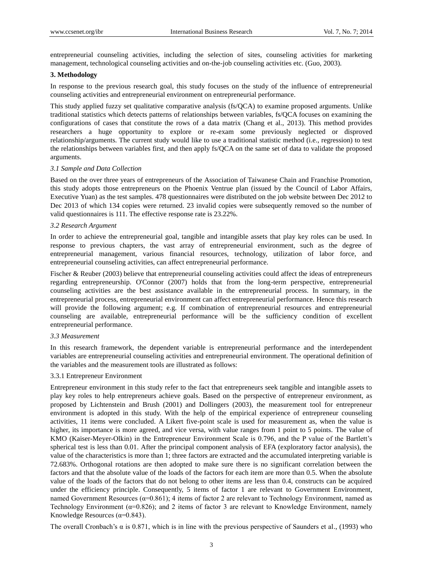entrepreneurial counseling activities, including the selection of sites, counseling activities for marketing management, technological counseling activities and on-the-job counseling activities etc. (Guo, 2003).

## **3. Methodology**

In response to the previous research goal, this study focuses on the study of the influence of entrepreneurial counseling activities and entrepreneurial environment on entrepreneurial performance.

This study applied fuzzy set qualitative comparative analysis (fs/QCA) to examine proposed arguments. Unlike traditional statistics which detects patterns of relationships between variables, fs/QCA focuses on examining the configurations of cases that constitute the rows of a data matrix (Chang et al., 2013). This method provides researchers a huge opportunity to explore or re-exam some previously neglected or disproved relationship/arguments. The current study would like to use a traditional statistic method (i.e., regression) to test the relationships between variables first, and then apply fs/QCA on the same set of data to validate the proposed arguments.

#### *3.1 Sample and Data Collection*

Based on the over three years of entrepreneurs of the Association of Taiwanese Chain and Franchise Promotion, this study adopts those entrepreneurs on the Phoenix Ventrue plan (issued by the Council of Labor Affairs, Executive Yuan) as the test samples. 478 questionnaires were distributed on the job website between Dec 2012 to Dec 2013 of which 134 copies were returned. 23 invalid copies were subsequently removed so the number of valid questionnaires is 111. The effective response rate is 23.22%.

## *3.2 Research Argument*

In order to achieve the entrepreneurial goal, tangible and intangible assets that play key roles can be used. In response to previous chapters, the vast array of entrepreneurial environment, such as the degree of entrepreneurial management, various financial resources, technology, utilization of labor force, and entrepreneurial counseling activities, can affect entrepreneurial performance.

Fischer & Reuber (2003) believe that entrepreneurial counseling activities could affect the ideas of entrepreneurs regarding entrepreneurship. O'Connor (2007) holds that from the long-term perspective, entrepreneurial counseling activities are the best assistance available in the entrepreneurial process. In summary, in the entrepreneurial process, entrepreneurial environment can affect entrepreneurial performance. Hence this research will provide the following argument; e.g. If combination of entrepreneurial resources and entrepreneurial counseling are available, entrepreneurial performance will be the sufficiency condition of excellent entrepreneurial performance.

#### *3.3 Measurement*

In this research framework, the dependent variable is entrepreneurial performance and the interdependent variables are entrepreneurial counseling activities and entrepreneurial environment. The operational definition of the variables and the measurement tools are illustrated as follows:

#### 3.3.1 Entrepreneur Environment

Entrepreneur environment in this study refer to the fact that entrepreneurs seek tangible and intangible assets to play key roles to help entrepreneurs achieve goals. Based on the perspective of entrepreneur environment, as proposed by Lichtenstein and Brush (2001) and Dollingers (2003), the measurement tool for entrepreneur environment is adopted in this study. With the help of the empirical experience of entrepreneur counseling activities, 11 items were concluded. A Likert five-point scale is used for measurement as, when the value is higher, its importance is more agreed, and vice versa, with value ranges from 1 point to 5 points. The value of KMO (Kaiser-Meyer-Olkin) in the Entrepreneur Environment Scale is 0.796, and the P value of the Bartlett's spherical test is less than 0.01. After the principal component analysis of EFA (exploratory factor analysis), the value of the characteristics is more than 1; three factors are extracted and the accumulated interpreting variable is 72.683%. Orthogonal rotations are then adopted to make sure there is no significant correlation between the factors and that the absolute value of the loads of the factors for each item are more than 0.5. When the absolute value of the loads of the factors that do not belong to other items are less than 0.4, constructs can be acquired under the efficiency principle. Consequently, 5 items of factor 1 are relevant to Government Environment, named Government Resources (α=0.861); 4 items of factor 2 are relevant to Technology Environment, named as Technology Environment ( $\alpha$ =0.826); and 2 items of factor 3 are relevant to Knowledge Environment, namely Knowledge Resources ( $\alpha$ =0.843).

The overall Cronbach's α is 0.871, which is in line with the previous perspective of Saunders et al., (1993) who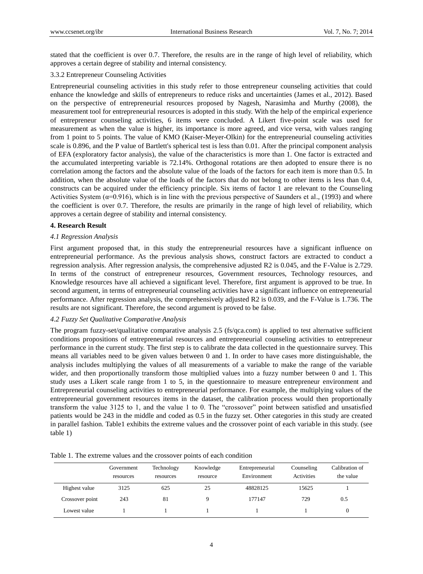stated that the coefficient is over 0.7. Therefore, the results are in the range of high level of reliability, which approves a certain degree of stability and internal consistency.

#### 3.3.2 Entrepreneur Counseling Activities

Entrepreneurial counseling activities in this study refer to those entrepreneur counseling activities that could enhance the knowledge and skills of entrepreneurs to reduce risks and uncertainties (James et al., 2012). Based on the perspective of entrepreneurial resources proposed by Nagesh, Narasimha and Murthy (2008), the measurement tool for entrepreneurial resources is adopted in this study. With the help of the empirical experience of entrepreneur counseling activities, 6 items were concluded. A Likert five-point scale was used for measurement as when the value is higher, its importance is more agreed, and vice versa, with values ranging from 1 point to 5 points. The value of KMO (Kaiser-Meyer-Olkin) for the entrepreneurial counseling activities scale is 0.896, and the P value of Bartlett's spherical test is less than 0.01. After the principal component analysis of EFA (exploratory factor analysis), the value of the characteristics is more than 1. One factor is extracted and the accumulated interpreting variable is 72.14%. Orthogonal rotations are then adopted to ensure there is no correlation among the factors and the absolute value of the loads of the factors for each item is more than 0.5. In addition, when the absolute value of the loads of the factors that do not belong to other items is less than 0.4, constructs can be acquired under the efficiency principle. Six items of factor 1 are relevant to the Counseling Activities System ( $\alpha$ =0.916), which is in line with the previous perspective of Saunders et al., (1993) and where the coefficient is over 0.7. Therefore, the results are primarily in the range of high level of reliability, which approves a certain degree of stability and internal consistency.

#### **4. Research Result**

#### *4.1 Regression Analysis*

First argument proposed that, in this study the entrepreneurial resources have a significant influence on entrepreneurial performance. As the previous analysis shows, construct factors are extracted to conduct a regression analysis. After regression analysis, the comprehensive adjusted R2 is 0.045, and the F-Value is 2.729. In terms of the construct of entrepreneur resources, Government resources, Technology resources, and Knowledge resources have all achieved a significant level. Therefore, first argument is approved to be true. In second argument, in terms of entrepreneurial counseling activities have a significant influence on entrepreneurial performance. After regression analysis, the comprehensively adjusted R2 is 0.039, and the F-Value is 1.736. The results are not significant. Therefore, the second argument is proved to be false.

#### *4.2 Fuzzy Set Qualitative Comparative Analysis*

The program fuzzy-set/qualitative comparative analysis 2.5 (fs/qca.com) is applied to test alternative sufficient conditions propositions of entrepreneurial resources and entrepreneurial counseling activities to entrepreneur performance in the current study. The first step is to calibrate the data collected in the questionnaire survey. This means all variables need to be given values between 0 and 1. In order to have cases more distinguishable, the analysis includes multiplying the values of all measurements of a variable to make the range of the variable wider, and then proportionally transform those multiplied values into a fuzzy number between 0 and 1. This study uses a Likert scale range from 1 to 5, in the questionnaire to measure entrepreneur environment and Entrepreneurial counseling activities to entrepreneurial performance. For example, the multiplying values of the entrepreneurial government resources items in the dataset, the calibration process would then proportionally transform the value  $3125$  to 1, and the value 1 to 0. The "crossover" point between satisfied and unsatisfied patients would be 243 in the middle and coded as 0.5 in the fuzzy set. Other categories in this study are created in parallel fashion. Table1 exhibits the extreme values and the crossover point of each variable in this study. (see table 1)

|                 | Government<br>resources | Technology<br>resources | Knowledge<br>resource | Entrepreneurial<br>Environment | Counseling<br>Activities | Calibration of<br>the value |
|-----------------|-------------------------|-------------------------|-----------------------|--------------------------------|--------------------------|-----------------------------|
| Highest value   | 3125                    | 625                     | 25                    | 48828125                       | 15625                    |                             |
| Crossover point | 243                     | 81                      |                       | 177147                         | 729                      | 0.5                         |
| Lowest value    |                         |                         |                       |                                |                          | $\Omega$                    |

Table 1. The extreme values and the crossover points of each condition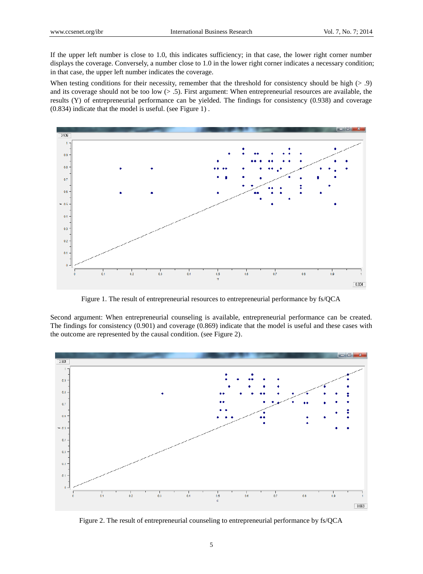If the upper left number is close to 1.0, this indicates sufficiency; in that case, the lower right corner number displays the coverage. Conversely, a number close to 1.0 in the lower right corner indicates a necessary condition; in that case, the upper left number indicates the coverage.

When testing conditions for their necessity, remember that the threshold for consistency should be high (> .9) and its coverage should not be too low  $(> 0.5)$ . First argument: When entrepreneurial resources are available, the results (Y) of entrepreneurial performance can be yielded. The findings for consistency (0.938) and coverage (0.834) indicate that the model is useful. (see Figure 1) .



Figure 1. The result of entrepreneurial resources to entrepreneurial performance by fs/QCA

Second argument: When entrepreneurial counseling is available, entrepreneurial performance can be created. The findings for consistency (0.901) and coverage (0.869) indicate that the model is useful and these cases with the outcome are represented by the causal condition. (see Figure 2).



Figure 2. The result of entrepreneurial counseling to entrepreneurial performance by fs/QCA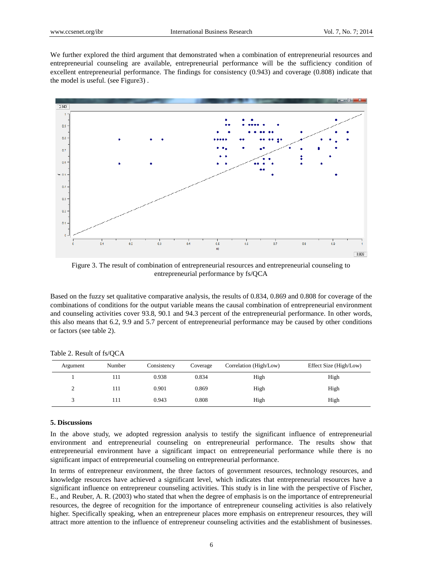We further explored the third argument that demonstrated when a combination of entrepreneurial resources and entrepreneurial counseling are available, entrepreneurial performance will be the sufficiency condition of excellent entrepreneurial performance. The findings for consistency (0.943) and coverage (0.808) indicate that the model is useful. (see Figure3) .



Figure 3. The result of combination of entrepreneurial resources and entrepreneurial counseling to entrepreneurial performance by fs/QCA

Based on the fuzzy set qualitative comparative analysis, the results of 0.834, 0.869 and 0.808 for coverage of the combinations of conditions for the output variable means the causal combination of entrepreneurial environment and counseling activities cover 93.8, 90.1 and 94.3 percent of the entrepreneurial performance. In other words, this also means that 6.2, 9.9 and 5.7 percent of entrepreneurial performance may be caused by other conditions or factors (see table 2).

| Argument | Number | Consistency | Coverage | Correlation (High/Low) | Effect Size (High/Low) |
|----------|--------|-------------|----------|------------------------|------------------------|
|          | 111    | 0.938       | 0.834    | High                   | High                   |
|          | 111    | 0.901       | 0.869    | High                   | High                   |
|          | 111    | 0.943       | 0.808    | High                   | High                   |

Table 2. Result of fs/QCA

## **5. Discussions**

In the above study, we adopted regression analysis to testify the significant influence of entrepreneurial environment and entrepreneurial counseling on entrepreneurial performance. The results show that entrepreneurial environment have a significant impact on entrepreneurial performance while there is no significant impact of entrepreneurial counseling on entrepreneurial performance.

In terms of entrepreneur environment, the three factors of government resources, technology resources, and knowledge resources have achieved a significant level, which indicates that entrepreneurial resources have a significant influence on entrepreneur counseling activities. This study is in line with the perspective of Fischer, E., and Reuber, A. R. (2003) who stated that when the degree of emphasis is on the importance of entrepreneurial resources, the degree of recognition for the importance of entrepreneur counseling activities is also relatively higher. Specifically speaking, when an entrepreneur places more emphasis on entrepreneur resources, they will attract more attention to the influence of entrepreneur counseling activities and the establishment of businesses.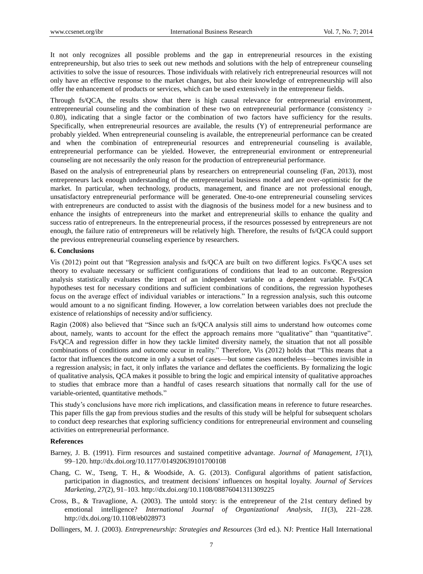It not only recognizes all possible problems and the gap in entrepreneurial resources in the existing entrepreneurship, but also tries to seek out new methods and solutions with the help of entrepreneur counseling activities to solve the issue of resources. Those individuals with relatively rich entrepreneurial resources will not only have an effective response to the market changes, but also their knowledge of entrepreneurship will also offer the enhancement of products or services, which can be used extensively in the entrepreneur fields.

Through fs/QCA, the results show that there is high causal relevance for entrepreneurial environment, entrepreneurial counseling and the combination of these two on entrepreneurial performance (consistency ≥ 0.80), indicating that a single factor or the combination of two factors have sufficiency for the results. Specifically, when entrepreneurial resources are available, the results (Y) of entrepreneurial performance are probably yielded. When entrepreneurial counseling is available, the entrepreneurial performance can be created and when the combination of entrepreneurial resources and entrepreneurial counseling is available, entrepreneurial performance can be yielded. However, the entrepreneurial environment or entrepreneurial counseling are not necessarily the only reason for the production of entrepreneurial performance.

Based on the analysis of entrepreneurial plans by researchers on entrepreneurial counseling (Fan, 2013), most entrepreneurs lack enough understanding of the entrepreneurial business model and are over-optimistic for the market. In particular, when technology, products, management, and finance are not professional enough, unsatisfactory entrepreneurial performance will be generated. One-to-one entrepreneurial counseling services with entrepreneurs are conducted to assist with the diagnosis of the business model for a new business and to enhance the insights of entrepreneurs into the market and entrepreneurial skills to enhance the quality and success ratio of entrepreneurs. In the entrepreneurial process, if the resources possessed by entrepreneurs are not enough, the failure ratio of entrepreneurs will be relatively high. Therefore, the results of fs/QCA could support the previous entrepreneurial counseling experience by researchers.

# **6. Conclusions**

Vis (2012) point out that "Regression analysis and fs/QCA are built on two different logics. Fs/QCA uses set theory to evaluate necessary or sufficient configurations of conditions that lead to an outcome. Regression analysis statistically evaluates the impact of an independent variable on a dependent variable. Fs/QCA hypotheses test for necessary conditions and sufficient combinations of conditions, the regression hypotheses focus on the average effect of individual variables or interactions." In a regression analysis, such this outcome would amount to a no significant finding. However, a low correlation between variables does not preclude the existence of relationships of necessity and/or sufficiency.

Ragin (2008) also believed that "Since such an fs/QCA analysis still aims to understand how outcomes come about, namely, wants to account for the effect the approach remains more "qualitative" than "quantitative". Fs/QCA and regression differ in how they tackle limited diversity namely, the situation that not all possible combinations of conditions and outcome occur in reality." Therefore, Vis (2012) holds that "This means that a factor that influences the outcome in only a subset of cases—but some cases nonetheless—becomes invisible in a regression analysis; in fact, it only inflates the variance and deflates the coefficients. By formalizing the logic of qualitative analysis, QCA makes it possible to bring the logic and empirical intensity of qualitative approaches to studies that embrace more than a handful of cases research situations that normally call for the use of variable-oriented, quantitative methods."

This study's conclusions have more rich implications, and classification means in reference to future researches. This paper fills the gap from previous studies and the results of this study will be helpful for subsequent scholars to conduct deep researches that exploring sufficiency conditions for entrepreneurial environment and counseling activities on entrepreneurial performance.

# **References**

- Barney, J. B. (1991). Firm resources and sustained competitive advantage. *Journal of Management, 17*(1), 99–120. http://dx.doi.org/10.1177/014920639101700108
- Chang, C. W., Tseng, T. H., & Woodside, A. G. (2013). Configural algorithms of patient satisfaction, participation in diagnostics, and treatment decisions' influences on hospital loyalty. *Journal of Services Marketing, 27*(2), 91–103. http://dx.doi.org/10.1108/08876041311309225
- Cross, B., & Travaglione, A. (2003). The untold story: is the entrepreneur of the 21st century defined by emotional intelligence? *International Journal of Organizational Analysis, 11*(3), 221–228. http://dx.doi.org/10.1108/eb028973
- Dollingers, M. J. (2003). *Entrepreneurship: Strategies and Resources* (3rd ed.). NJ: Prentice Hall International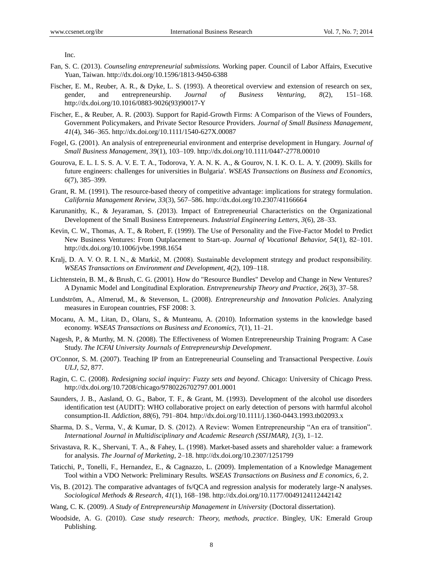Inc.

- Fan, S. C. (2013). *Counseling entrepreneurial submissions.* Working paper. Council of Labor Affairs, Executive Yuan, Taiwan. http://dx.doi.org/10.1596/1813-9450-6388
- Fischer, E. M., Reuber, A. R., & Dyke, L. S. (1993). A theoretical overview and extension of research on sex, gender, and entrepreneurship. *Journal of Business Venturing, 8*(2), 151–168. http://dx.doi.org/10.1016/0883-9026(93)90017-Y
- Fischer, E., & Reuber, A. R. (2003). Support for Rapid‐Growth Firms: A Comparison of the Views of Founders, Government Policymakers, and Private Sector Resource Providers. *Journal of Small Business Management, 41*(4), 346–365. http://dx.doi.org/10.1111/1540-627X.00087
- Fogel, G. (2001). An analysis of entrepreneurial environment and enterprise development in Hungary. *Journal of Small Business Management, 39*(1), 103–109. http://dx.doi.org/10.1111/0447-2778.00010
- Gourova, E. L. I. S. S. A. V. E. T. A., Todorova, Y. A. N. K. A., & Gourov, N. I. K. O. L. A. Y. (2009). Skills for future engineers: challenges for universities in Bulgaria'. *WSEAS Transactions on Business and Economics, 6*(7), 385–399.
- Grant, R. M. (1991). The resource-based theory of competitive advantage: implications for strategy formulation. *California Management Review, 33*(3), 567–586. http://dx.doi.org/10.2307/41166664
- Karunanithy, K., & Jeyaraman, S. (2013). Impact of Entrepreneurial Characteristics on the Organizational Development of the Small Business Entrepreneurs. *Industrial Engineering Letters, 3*(6), 28–33.
- Kevin, C. W., Thomas, A. T., & Robert, F. (1999). The Use of Personality and the Five-Factor Model to Predict New Business Ventures: From Outplacement to Start-up. *Journal of Vocational Behavior, 54*(1), 82–101. http://dx.doi.org/10.1006/jvbe.1998.1654
- Kralj, D. A. V. O. R. I. N., & Markič, M. (2008). Sustainable development strategy and product responsibility. *WSEAS Transactions on Environment and Development, 4*(2), 109–118.
- Lichtenstein, B. M., & Brush, C. G. (2001). How do "Resource Bundles" Develop and Change in New Ventures? A Dynamic Model and Longitudinal Exploration. *Entrepreneurship Theory and Practice, 26*(3), 37–58.
- Lundström, A., Almerud, M., & Stevenson, L. (2008). *Entrepreneurship and Innovation Policies*. Analyzing measures in European countries, FSF 2008: 3.
- Mocanu, A. M., Litan, D., Olaru, S., & Munteanu, A. (2010). Information systems in the knowledge based economy. *WSEAS Transactions on Business and Economics, 7*(1), 11–21.
- Nagesh, P., & Murthy, M. N. (2008). The Effectiveness of Women Entrepreneurship Training Program: A Case Study. *The ICFAI University Journals of Entrepreneurship Development*.
- O'Connor, S. M. (2007). Teaching IP from an Entrepreneurial Counseling and Transactional Perspective. *Louis ULJ, 52*, 877.
- Ragin, C. C. (2008). *Redesigning social inquiry: Fuzzy sets and beyond*. Chicago: University of Chicago Press. http://dx.doi.org/10.7208/chicago/9780226702797.001.0001
- Saunders, J. B., Aasland, O. G., Babor, T. F., & Grant, M. (1993). Development of the alcohol use disorders identification test (AUDIT): WHO collaborative project on early detection of persons with harmful alcohol consumption‐II. *Addiction, 88*(6), 791–804. http://dx.doi.org/10.1111/j.1360-0443.1993.tb02093.x
- Sharma, D. S., Verma, V., & Kumar, D. S. (2012). A Review: Women Entrepreneurship "An era of transition". *International Journal in Multidisciplinary and Academic Research (SSIJMAR), 1*(3), 1–12.
- Srivastava, R. K., Shervani, T. A., & Fahey, L. (1998). Market-based assets and shareholder value: a framework for analysis. *The Journal of Marketing*, 2–18. http://dx.doi.org/10.2307/1251799
- Taticchi, P., Tonelli, F., Hernandez, E., & Cagnazzo, L. (2009). Implementation of a Knowledge Management Tool within a VDO Network: Preliminary Results. *WSEAS Transactions on Business and E conomics, 6*, 2.
- Vis, B. (2012). The comparative advantages of fs/QCA and regression analysis for moderately large-N analyses. *Sociological Methods & Research, 41*(1), 168–198. http://dx.doi.org/10.1177/0049124112442142
- Wang, C. K. (2009). *A Study of Entrepreneurship Management in University* (Doctoral dissertation).
- Woodside, A. G. (2010). *Case study research: Theory, methods, practice*. Bingley, UK: Emerald Group Publishing.